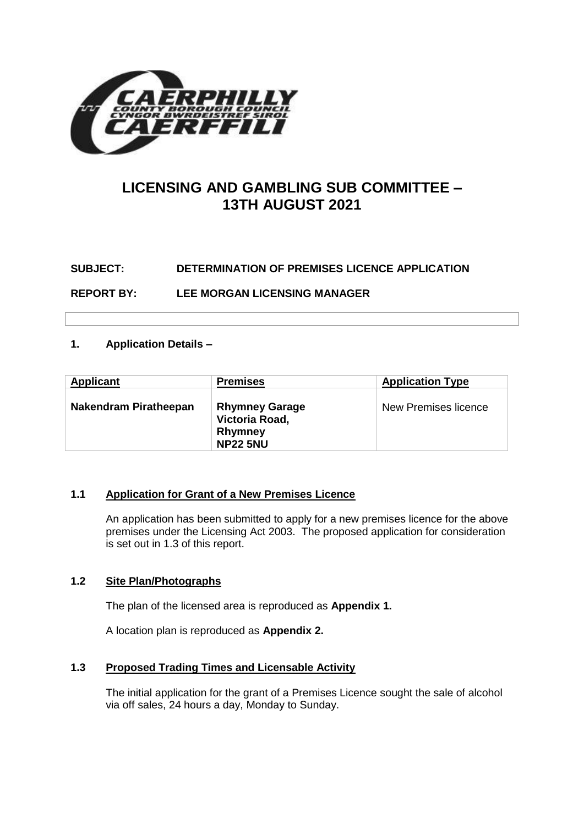

# **LICENSING AND GAMBLING SUB COMMITTEE – 13TH AUGUST 2021**

# **SUBJECT: DETERMINATION OF PREMISES LICENCE APPLICATION**

**REPORT BY: LEE MORGAN LICENSING MANAGER**

# **1. Application Details –**

| <b>Applicant</b>      | <b>Premises</b>                                                              | <b>Application Type</b> |
|-----------------------|------------------------------------------------------------------------------|-------------------------|
| Nakendram Piratheepan | <b>Rhymney Garage</b><br>Victoria Road,<br><b>Rhymney</b><br><b>NP22 5NU</b> | New Premises licence    |

# **1.1 Application for Grant of a New Premises Licence**

An application has been submitted to apply for a new premises licence for the above premises under the Licensing Act 2003. The proposed application for consideration is set out in 1.3 of this report.

# **1.2 Site Plan/Photographs**

The plan of the licensed area is reproduced as **Appendix 1.**

A location plan is reproduced as **Appendix 2.**

# **1.3 Proposed Trading Times and Licensable Activity**

The initial application for the grant of a Premises Licence sought the sale of alcohol via off sales, 24 hours a day, Monday to Sunday.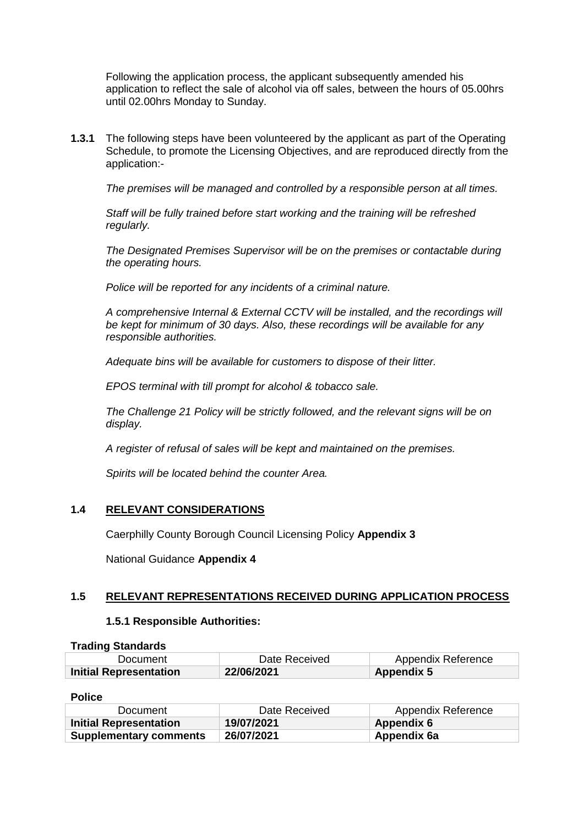Following the application process, the applicant subsequently amended his application to reflect the sale of alcohol via off sales, between the hours of 05.00hrs until 02.00hrs Monday to Sunday.

**1.3.1** The following steps have been volunteered by the applicant as part of the Operating Schedule, to promote the Licensing Objectives, and are reproduced directly from the application:-

*The premises will be managed and controlled by a responsible person at all times.* 

*Staff will be fully trained before start working and the training will be refreshed regularly.*

*The Designated Premises Supervisor will be on the premises or contactable during the operating hours.*

*Police will be reported for any incidents of a criminal nature.* 

*A comprehensive Internal & External CCTV will be installed, and the recordings will be kept for minimum of 30 days. Also, these recordings will be available for any responsible authorities.*

*Adequate bins will be available for customers to dispose of their litter.*

*EPOS terminal with till prompt for alcohol & tobacco sale.* 

*The Challenge 21 Policy will be strictly followed, and the relevant signs will be on display.*

*A register of refusal of sales will be kept and maintained on the premises.* 

*Spirits will be located behind the counter Area.*

# **1.4 RELEVANT CONSIDERATIONS**

Caerphilly County Borough Council Licensing Policy **Appendix 3**

National Guidance **Appendix 4**

# **1.5 RELEVANT REPRESENTATIONS RECEIVED DURING APPLICATION PROCESS**

#### **1.5.1 Responsible Authorities:**

| <b>Trading Standards</b>      |               |                    |
|-------------------------------|---------------|--------------------|
| Document                      | Date Received | Appendix Reference |
| <b>Initial Representation</b> | 22/06/2021    | <b>Appendix 5</b>  |

**Police**

| Document                      | Date Received | Appendix Reference |
|-------------------------------|---------------|--------------------|
| Initial Representation        | 19/07/2021    | Appendix 6         |
| <b>Supplementary comments</b> | 26/07/2021    | Appendix 6a        |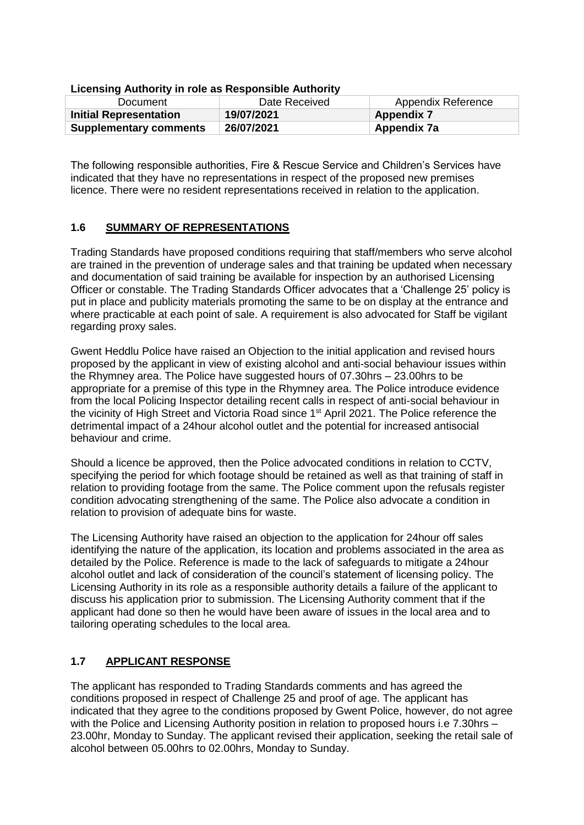| LIVERSING AUGUVING INTOIC US NESPONSIBIC AUGUVING |               |                           |  |
|---------------------------------------------------|---------------|---------------------------|--|
| Document                                          | Date Received | <b>Appendix Reference</b> |  |
| <b>Initial Representation</b>                     | 19/07/2021    | <b>Appendix 7</b>         |  |
| <b>Supplementary comments</b>                     | 26/07/2021    | Appendix 7a               |  |

#### **Licensing Authority in role as Responsible Authority**

The following responsible authorities, Fire & Rescue Service and Children's Services have indicated that they have no representations in respect of the proposed new premises licence. There were no resident representations received in relation to the application.

# **1.6 SUMMARY OF REPRESENTATIONS**

Trading Standards have proposed conditions requiring that staff/members who serve alcohol are trained in the prevention of underage sales and that training be updated when necessary and documentation of said training be available for inspection by an authorised Licensing Officer or constable. The Trading Standards Officer advocates that a 'Challenge 25' policy is put in place and publicity materials promoting the same to be on display at the entrance and where practicable at each point of sale. A requirement is also advocated for Staff be vigilant regarding proxy sales.

Gwent Heddlu Police have raised an Objection to the initial application and revised hours proposed by the applicant in view of existing alcohol and anti-social behaviour issues within the Rhymney area. The Police have suggested hours of 07.30hrs – 23.00hrs to be appropriate for a premise of this type in the Rhymney area. The Police introduce evidence from the local Policing Inspector detailing recent calls in respect of anti-social behaviour in the vicinity of High Street and Victoria Road since 1<sup>st</sup> April 2021. The Police reference the detrimental impact of a 24hour alcohol outlet and the potential for increased antisocial behaviour and crime.

Should a licence be approved, then the Police advocated conditions in relation to CCTV, specifying the period for which footage should be retained as well as that training of staff in relation to providing footage from the same. The Police comment upon the refusals register condition advocating strengthening of the same. The Police also advocate a condition in relation to provision of adequate bins for waste.

The Licensing Authority have raised an objection to the application for 24hour off sales identifying the nature of the application, its location and problems associated in the area as detailed by the Police. Reference is made to the lack of safeguards to mitigate a 24hour alcohol outlet and lack of consideration of the council's statement of licensing policy. The Licensing Authority in its role as a responsible authority details a failure of the applicant to discuss his application prior to submission. The Licensing Authority comment that if the applicant had done so then he would have been aware of issues in the local area and to tailoring operating schedules to the local area.

# **1.7 APPLICANT RESPONSE**

The applicant has responded to Trading Standards comments and has agreed the conditions proposed in respect of Challenge 25 and proof of age. The applicant has indicated that they agree to the conditions proposed by Gwent Police, however, do not agree with the Police and Licensing Authority position in relation to proposed hours i.e 7.30hrs – 23.00hr, Monday to Sunday. The applicant revised their application, seeking the retail sale of alcohol between 05.00hrs to 02.00hrs, Monday to Sunday.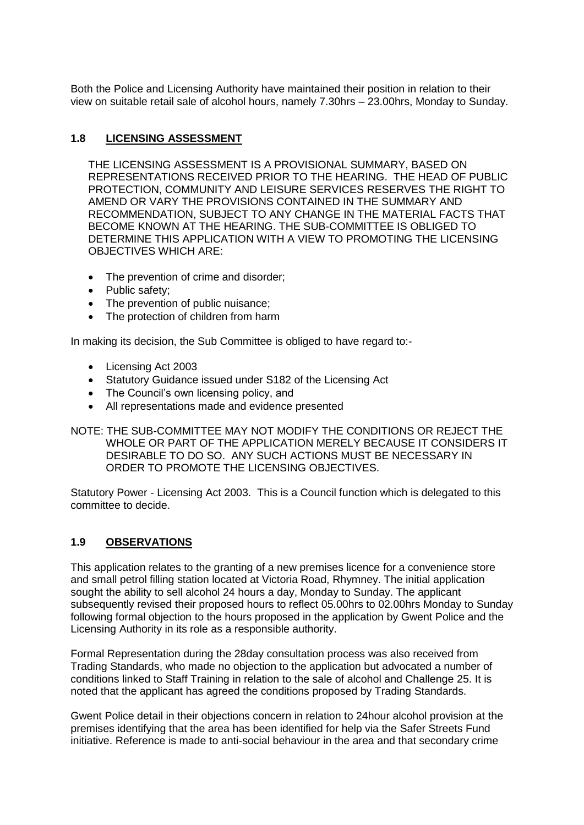Both the Police and Licensing Authority have maintained their position in relation to their view on suitable retail sale of alcohol hours, namely 7.30hrs – 23.00hrs, Monday to Sunday.

# **1.8 LICENSING ASSESSMENT**

THE LICENSING ASSESSMENT IS A PROVISIONAL SUMMARY, BASED ON REPRESENTATIONS RECEIVED PRIOR TO THE HEARING. THE HEAD OF PUBLIC PROTECTION, COMMUNITY AND LEISURE SERVICES RESERVES THE RIGHT TO AMEND OR VARY THE PROVISIONS CONTAINED IN THE SUMMARY AND RECOMMENDATION, SUBJECT TO ANY CHANGE IN THE MATERIAL FACTS THAT BECOME KNOWN AT THE HEARING. THE SUB-COMMITTEE IS OBLIGED TO DETERMINE THIS APPLICATION WITH A VIEW TO PROMOTING THE LICENSING OBJECTIVES WHICH ARE:

- The prevention of crime and disorder:
- Public safety;
- The prevention of public nuisance;
- The protection of children from harm

In making its decision, the Sub Committee is obliged to have regard to:-

- Licensing Act 2003
- Statutory Guidance issued under S182 of the Licensing Act
- The Council's own licensing policy, and
- All representations made and evidence presented

NOTE: THE SUB-COMMITTEE MAY NOT MODIFY THE CONDITIONS OR REJECT THE WHOLE OR PART OF THE APPLICATION MERELY BECAUSE IT CONSIDERS IT DESIRABLE TO DO SO. ANY SUCH ACTIONS MUST BE NECESSARY IN ORDER TO PROMOTE THE LICENSING OBJECTIVES.

Statutory Power - Licensing Act 2003. This is a Council function which is delegated to this committee to decide.

# **1.9 OBSERVATIONS**

This application relates to the granting of a new premises licence for a convenience store and small petrol filling station located at Victoria Road, Rhymney. The initial application sought the ability to sell alcohol 24 hours a day, Monday to Sunday. The applicant subsequently revised their proposed hours to reflect 05.00hrs to 02.00hrs Monday to Sunday following formal objection to the hours proposed in the application by Gwent Police and the Licensing Authority in its role as a responsible authority.

Formal Representation during the 28day consultation process was also received from Trading Standards, who made no objection to the application but advocated a number of conditions linked to Staff Training in relation to the sale of alcohol and Challenge 25. It is noted that the applicant has agreed the conditions proposed by Trading Standards.

Gwent Police detail in their objections concern in relation to 24hour alcohol provision at the premises identifying that the area has been identified for help via the Safer Streets Fund initiative. Reference is made to anti-social behaviour in the area and that secondary crime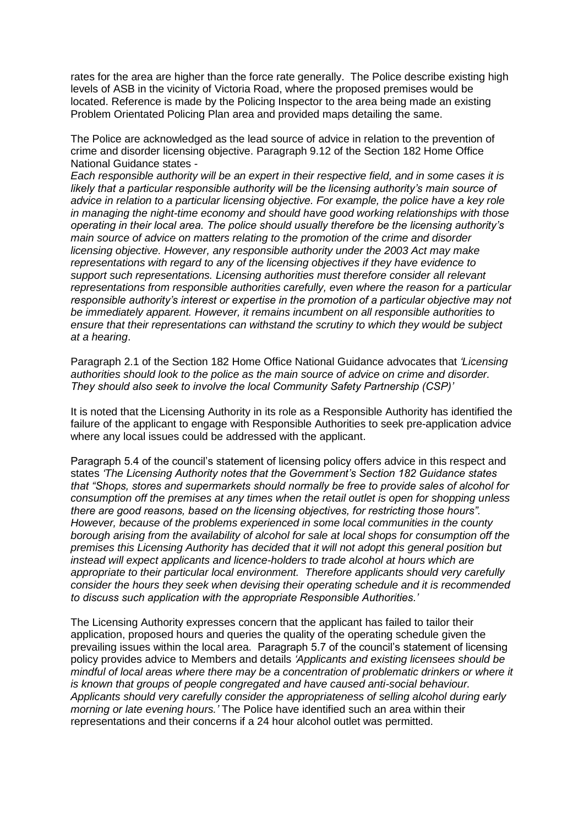rates for the area are higher than the force rate generally. The Police describe existing high levels of ASB in the vicinity of Victoria Road, where the proposed premises would be located. Reference is made by the Policing Inspector to the area being made an existing Problem Orientated Policing Plan area and provided maps detailing the same.

The Police are acknowledged as the lead source of advice in relation to the prevention of crime and disorder licensing objective. Paragraph 9.12 of the Section 182 Home Office National Guidance states -

*Each responsible authority will be an expert in their respective field, and in some cases it is likely that a particular responsible authority will be the licensing authority's main source of advice in relation to a particular licensing objective. For example, the police have a key role in managing the night-time economy and should have good working relationships with those operating in their local area. The police should usually therefore be the licensing authority's main source of advice on matters relating to the promotion of the crime and disorder licensing objective. However, any responsible authority under the 2003 Act may make representations with regard to any of the licensing objectives if they have evidence to support such representations. Licensing authorities must therefore consider all relevant representations from responsible authorities carefully, even where the reason for a particular responsible authority's interest or expertise in the promotion of a particular objective may not be immediately apparent. However, it remains incumbent on all responsible authorities to ensure that their representations can withstand the scrutiny to which they would be subject at a hearing*.

Paragraph 2.1 of the Section 182 Home Office National Guidance advocates that *'Licensing authorities should look to the police as the main source of advice on crime and disorder. They should also seek to involve the local Community Safety Partnership (CSP)'*

It is noted that the Licensing Authority in its role as a Responsible Authority has identified the failure of the applicant to engage with Responsible Authorities to seek pre-application advice where any local issues could be addressed with the applicant.

Paragraph 5.4 of the council's statement of licensing policy offers advice in this respect and states *'The Licensing Authority notes that the Government's Section 182 Guidance states that "Shops, stores and supermarkets should normally be free to provide sales of alcohol for consumption off the premises at any times when the retail outlet is open for shopping unless there are good reasons, based on the licensing objectives, for restricting those hours". However, because of the problems experienced in some local communities in the county borough arising from the availability of alcohol for sale at local shops for consumption off the premises this Licensing Authority has decided that it will not adopt this general position but instead will expect applicants and licence-holders to trade alcohol at hours which are appropriate to their particular local environment. Therefore applicants should very carefully consider the hours they seek when devising their operating schedule and it is recommended to discuss such application with the appropriate Responsible Authorities.'*

The Licensing Authority expresses concern that the applicant has failed to tailor their application, proposed hours and queries the quality of the operating schedule given the prevailing issues within the local area. Paragraph 5.7 of the council's statement of licensing policy provides advice to Members and details *'Applicants and existing licensees should be mindful of local areas where there may be a concentration of problematic drinkers or where it is known that groups of people congregated and have caused anti-social behaviour. Applicants should very carefully consider the appropriateness of selling alcohol during early morning or late evening hours.'* The Police have identified such an area within their representations and their concerns if a 24 hour alcohol outlet was permitted.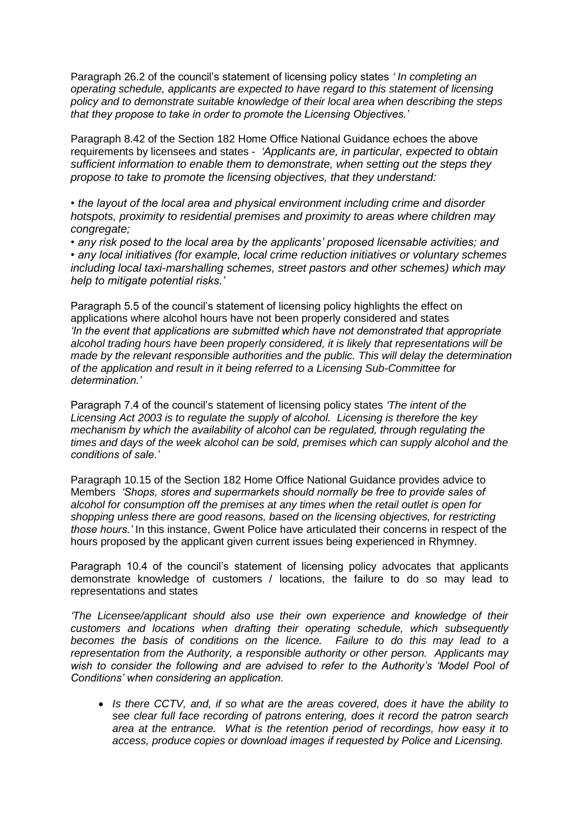Paragraph 26.2 of the council's statement of licensing policy states *' In completing an operating schedule, applicants are expected to have regard to this statement of licensing policy and to demonstrate suitable knowledge of their local area when describing the steps that they propose to take in order to promote the Licensing Objectives.'*

Paragraph 8.42 of the Section 182 Home Office National Guidance echoes the above requirements by licensees and states - *'Applicants are, in particular, expected to obtain sufficient information to enable them to demonstrate, when setting out the steps they propose to take to promote the licensing objectives, that they understand:* 

*• the layout of the local area and physical environment including crime and disorder hotspots, proximity to residential premises and proximity to areas where children may congregate;* 

*• any risk posed to the local area by the applicants' proposed licensable activities; and • any local initiatives (for example, local crime reduction initiatives or voluntary schemes including local taxi-marshalling schemes, street pastors and other schemes) which may help to mitigate potential risks.'*

Paragraph 5.5 of the council's statement of licensing policy highlights the effect on applications where alcohol hours have not been properly considered and states *'In the event that applications are submitted which have not demonstrated that appropriate alcohol trading hours have been properly considered, it is likely that representations will be made by the relevant responsible authorities and the public. This will delay the determination of the application and result in it being referred to a Licensing Sub-Committee for determination.'* 

Paragraph 7.4 of the council's statement of licensing policy states *'The intent of the Licensing Act 2003 is to regulate the supply of alcohol. Licensing is therefore the key mechanism by which the availability of alcohol can be regulated, through regulating the times and days of the week alcohol can be sold, premises which can supply alcohol and the conditions of sale.'* 

Paragraph 10.15 of the Section 182 Home Office National Guidance provides advice to Members *'Shops, stores and supermarkets should normally be free to provide sales of alcohol for consumption off the premises at any times when the retail outlet is open for shopping unless there are good reasons, based on the licensing objectives, for restricting those hours.'* In this instance, Gwent Police have articulated their concerns in respect of the hours proposed by the applicant given current issues being experienced in Rhymney.

Paragraph 10.4 of the council's statement of licensing policy advocates that applicants demonstrate knowledge of customers / locations, the failure to do so may lead to representations and states

*'The Licensee/applicant should also use their own experience and knowledge of their customers and locations when drafting their operating schedule, which subsequently becomes the basis of conditions on the licence. Failure to do this may lead to a representation from the Authority, a responsible authority or other person. Applicants may wish to consider the following and are advised to refer to the Authority's 'Model Pool of Conditions' when considering an application.*

 *Is there CCTV, and, if so what are the areas covered, does it have the ability to see clear full face recording of patrons entering, does it record the patron search area at the entrance. What is the retention period of recordings, how easy it to access, produce copies or download images if requested by Police and Licensing.*